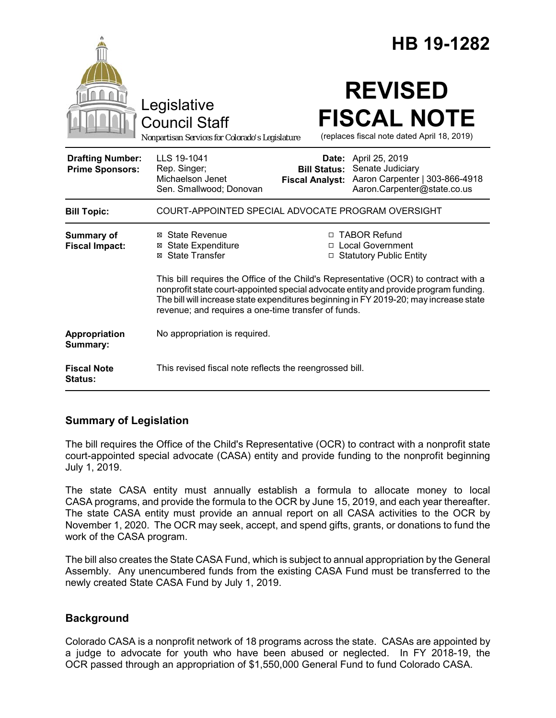|                                                   |                                                                                                                                                                                                                                                                                                                              |                                                        | HB 19-1282                                                                                          |  |
|---------------------------------------------------|------------------------------------------------------------------------------------------------------------------------------------------------------------------------------------------------------------------------------------------------------------------------------------------------------------------------------|--------------------------------------------------------|-----------------------------------------------------------------------------------------------------|--|
|                                                   | Legislative<br><b>Council Staff</b><br>Nonpartisan Services for Colorado's Legislature                                                                                                                                                                                                                                       |                                                        | <b>REVISED</b><br><b>FISCAL NOTE</b><br>(replaces fiscal note dated April 18, 2019)                 |  |
| <b>Drafting Number:</b><br><b>Prime Sponsors:</b> | LLS 19-1041<br>Rep. Singer;<br>Michaelson Jenet<br>Sen. Smallwood; Donovan                                                                                                                                                                                                                                                   | Date:<br><b>Bill Status:</b><br><b>Fiscal Analyst:</b> | April 25, 2019<br>Senate Judiciary<br>Aaron Carpenter   303-866-4918<br>Aaron.Carpenter@state.co.us |  |
| <b>Bill Topic:</b>                                | COURT-APPOINTED SPECIAL ADVOCATE PROGRAM OVERSIGHT                                                                                                                                                                                                                                                                           |                                                        |                                                                                                     |  |
| Summary of<br><b>Fiscal Impact:</b>               | ⊠ State Revenue<br><b>⊠</b> State Expenditure<br>⊠ State Transfer                                                                                                                                                                                                                                                            |                                                        | □ TABOR Refund<br>□ Local Government<br>□ Statutory Public Entity                                   |  |
|                                                   | This bill requires the Office of the Child's Representative (OCR) to contract with a<br>nonprofit state court-appointed special advocate entity and provide program funding.<br>The bill will increase state expenditures beginning in FY 2019-20; may increase state<br>revenue; and requires a one-time transfer of funds. |                                                        |                                                                                                     |  |
| Appropriation<br>Summary:                         | No appropriation is required.                                                                                                                                                                                                                                                                                                |                                                        |                                                                                                     |  |
| <b>Fiscal Note</b><br>Status:                     | This revised fiscal note reflects the reengrossed bill.                                                                                                                                                                                                                                                                      |                                                        |                                                                                                     |  |

### **Summary of Legislation**

The bill requires the Office of the Child's Representative (OCR) to contract with a nonprofit state court-appointed special advocate (CASA) entity and provide funding to the nonprofit beginning July 1, 2019.

The state CASA entity must annually establish a formula to allocate money to local CASA programs, and provide the formula to the OCR by June 15, 2019, and each year thereafter. The state CASA entity must provide an annual report on all CASA activities to the OCR by November 1, 2020. The OCR may seek, accept, and spend gifts, grants, or donations to fund the work of the CASA program.

The bill also creates the State CASA Fund, which is subject to annual appropriation by the General Assembly. Any unencumbered funds from the existing CASA Fund must be transferred to the newly created State CASA Fund by July 1, 2019.

### **Background**

Colorado CASA is a nonprofit network of 18 programs across the state. CASAs are appointed by a judge to advocate for youth who have been abused or neglected. In FY 2018-19, the OCR passed through an appropriation of \$1,550,000 General Fund to fund Colorado CASA.